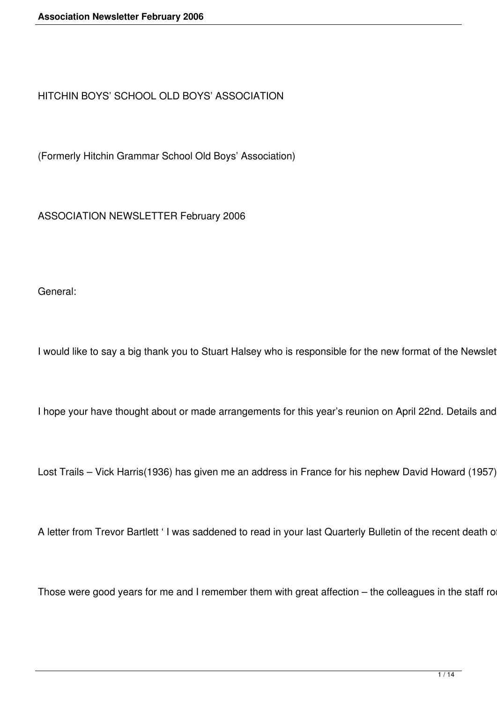HITCHIN BOYS' SCHOOL OLD BOYS' ASSOCIATION

(Formerly Hitchin Grammar School Old Boys' Association)

ASSOCIATION NEWSLETTER February 2006

General:

I would like to say a big thank you to Stuart Halsey who is responsible for the new format of the Newslet

I hope your have thought about or made arrangements for this year's reunion on April 22nd. Details and

Lost Trails - Vick Harris(1936) has given me an address in France for his nephew David Howard (1957)

A letter from Trevor Bartlett ' I was saddened to read in your last Quarterly Bulletin of the recent death o

Those were good years for me and I remember them with great affection - the colleagues in the staff ro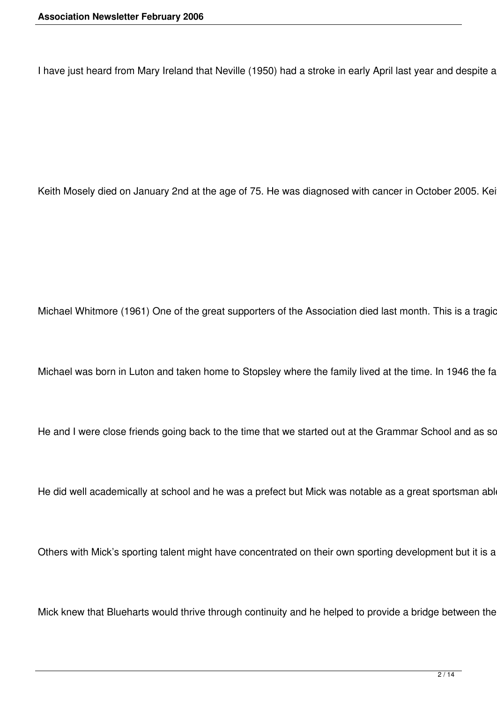I have just heard from Mary Ireland that Neville (1950) had a stroke in early April last year and despite a

Keith Mosely died on January 2nd at the age of 75. He was diagnosed with cancer in October 2005. Kei

Michael Whitmore (1961) One of the great supporters of the Association died last month. This is a tragic

Michael was born in Luton and taken home to Stopsley where the family lived at the time. In 1946 the fa

He and I were close friends going back to the time that we started out at the Grammar School and as so

He did well academically at school and he was a prefect but Mick was notable as a great sportsman abl

Others with Mick's sporting talent might have concentrated on their own sporting development but it is a

Mick knew that Blueharts would thrive through continuity and he helped to provide a bridge between the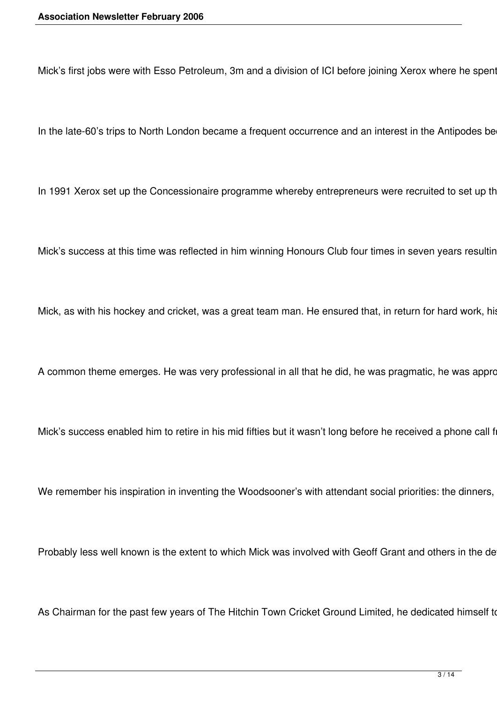Mick's first jobs were with Esso Petroleum, 3m and a division of ICI before joining Xerox where he spent

In the late-60's trips to North London became a frequent occurrence and an interest in the Antipodes be

In 1991 Xerox set up the Concessionaire programme whereby entrepreneurs were recruited to set up th

Mick's success at this time was reflected in him winning Honours Club four times in seven years resulting

Mick, as with his hockey and cricket, was a great team man. He ensured that, in return for hard work, his

A common theme emerges. He was very professional in all that he did, he was pragmatic, he was appro

Mick's success enabled him to retire in his mid fifties but it wasn't long before he received a phone call f

We remember his inspiration in inventing the Woodsooner's with attendant social priorities: the dinners,

Probably less well known is the extent to which Mick was involved with Geoff Grant and others in the de

As Chairman for the past few years of The Hitchin Town Cricket Ground Limited, he dedicated himself to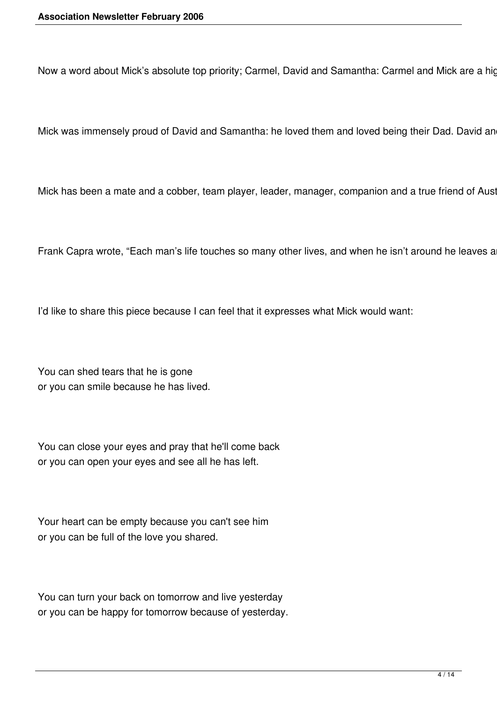Now a word about Mick's absolute top priority; Carmel, David and Samantha: Carmel and Mick are a hig

Mick was immensely proud of David and Samantha: he loved them and loved being their Dad. David an

Mick has been a mate and a cobber, team player, leader, manager, companion and a true friend of Aust

Frank Capra wrote, "Each man's life touches so many other lives, and when he isn't around he leaves a

I'd like to share this piece because I can feel that it expresses what Mick would want:

You can shed tears that he is gone or you can smile because he has lived.

You can close your eyes and pray that he'll come back or you can open your eyes and see all he has left.

Your heart can be empty because you can't see him or you can be full of the love you shared.

You can turn your back on tomorrow and live yesterday or you can be happy for tomorrow because of yesterday.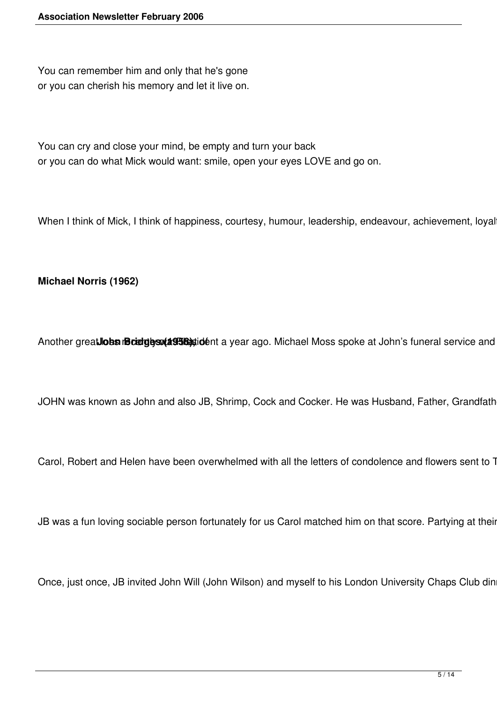You can remember him and only that he's gone or you can cherish his memory and let it live on.

You can cry and close your mind, be empty and turn your back or you can do what Mick would want: smile, open your eyes LOVE and go on.

When I think of Mick, I think of happiness, courtesy, humour, leadership, endeavour, achievement, loyal

**Michael Norris (1962)**

Another greatlobs recently was that **John Bridges (1958)**, in a year ago. Michael Moss spoke at John's funeral service and

JOHN was known as John and also JB, Shrimp, Cock and Cocker. He was Husband, Father, Grandfath

Carol, Robert and Helen have been overwhelmed with all the letters of condolence and flowers sent to 7

JB was a fun loving sociable person fortunately for us Carol matched him on that score. Partying at their

Once, just once, JB invited John Will (John Wilson) and myself to his London University Chaps Club din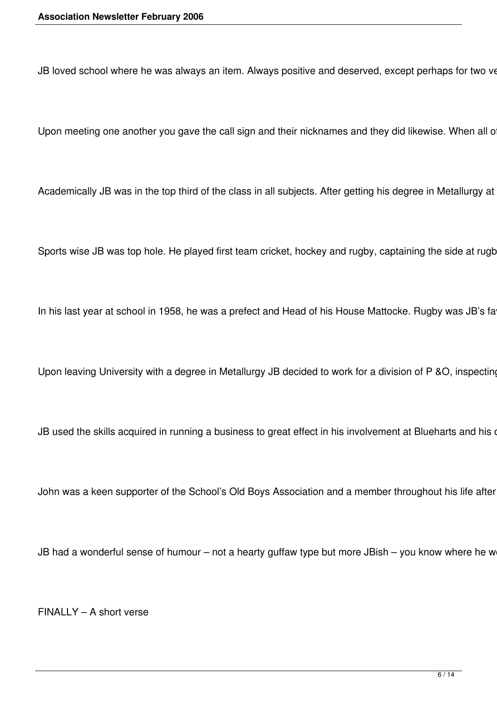JB loved school where he was always an item. Always positive and deserved, except perhaps for two ve

Upon meeting one another you gave the call sign and their nicknames and they did likewise. When all o

Academically JB was in the top third of the class in all subjects. After getting his degree in Metallurgy at

Sports wise JB was top hole. He played first team cricket, hockey and rugby, captaining the side at rugb

In his last year at school in 1958, he was a prefect and Head of his House Mattocke. Rugby was JB's fa

Upon leaving University with a degree in Metallurgy JB decided to work for a division of P &O, inspecting

JB used the skills acquired in running a business to great effect in his involvement at Blueharts and his of

John was a keen supporter of the School's Old Boys Association and a member throughout his life after

JB had a wonderful sense of humour – not a hearty guffaw type but more JBish – you know where he w

FINALLY – A short verse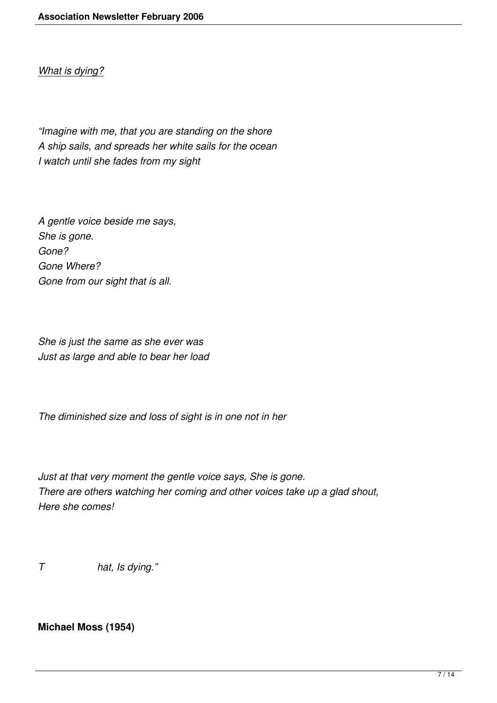# *What is dying?*

*"Imagine with me, that you are standing on the shore A ship sails, and spreads her white sails for the ocean I watch until she fades from my sight*

*A gentle voice beside me says, She is gone. Gone? Gone Where? Gone from our sight that is all.*

*She is just the same as she ever was Just as large and able to bear her load*

*The diminished size and loss of sight is in one not in her*

*Just at that very moment the gentle voice says, She is gone. There are others watching her coming and other voices take up a glad shout, Here she comes!*

*T hat, Is dying."*

# **Michael Moss (1954)**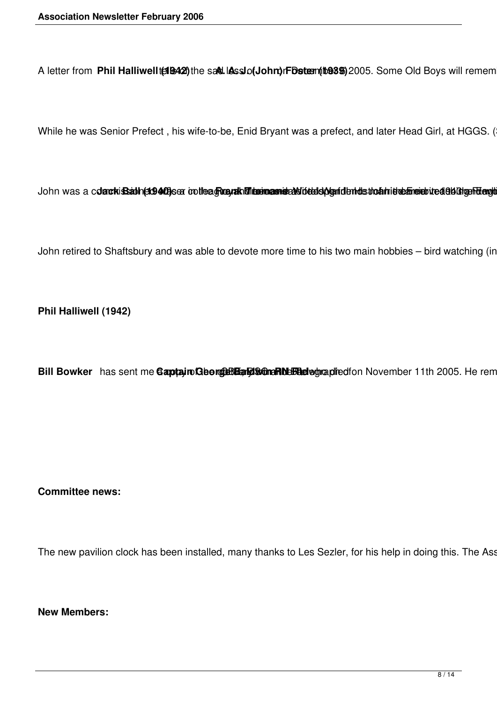A letter from Phil Halliwellt(1942) the sad. IAsslo(John) rFbstem (1989) 2005. Some Old Boys will remem

While he was Senior Prefect, his wife-to-be, Enid Bryant was a prefect, and later Head Girl, at HGGS. (

John was a cdanckisBabh(st9405)sea cotleagRogualkMitaemasmiseakHofeldoAgenfdentdsthoahhietelaneriedelekRotgenFelength

John retired to Shaftsbury and was able to devote more time to his two main hobbies - bird watching (in

**Phil Halliwell (1942)**

Bill Bowker has sent me Gaptain George Bang Concrete and text and november 11th 2005. He rem

#### **Committee news:**

The new pavilion clock has been installed, many thanks to Les Sezler, for his help in doing this. The Ass

**New Members:**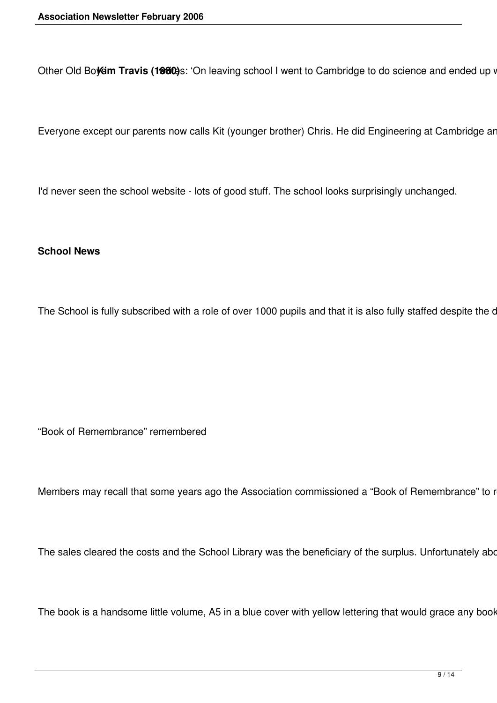Other Old Boysim Travis (1980)s: 'On leaving school I went to Cambridge to do science and ended up v

Everyone except our parents now calls Kit (younger brother) Chris. He did Engineering at Cambridge ar

I'd never seen the school website - lots of good stuff. The school looks surprisingly unchanged.

#### **School News**

The School is fully subscribed with a role of over 1000 pupils and that it is also fully staffed despite the c

"Book of Remembrance" remembered

Members may recall that some years ago the Association commissioned a "Book of Remembrance" to r

The sales cleared the costs and the School Library was the beneficiary of the surplus. Unfortunately abo

The book is a handsome little volume, A5 in a blue cover with yellow lettering that would grace any book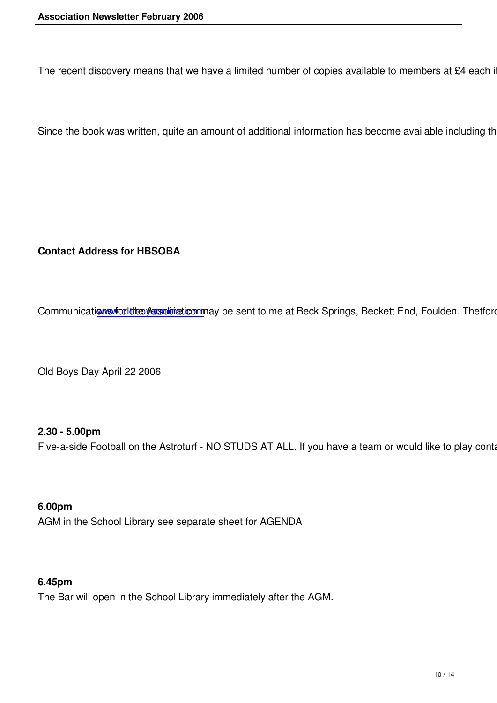The recent discovery means that we have a limited number of copies available to members at £4 each if co

Since the book was written, quite an amount of additional information has become available including the s

**Contact Address for HBSOBA**

Communications vicultities Assolviation may be sent to me at Beck Springs, Beckett End, Foulden. Thetford. N

Old Boys Day April 22 2006

## **2.30 - 5.00pm**

Five-a-side Football on the Astroturf - NO STUDS AT ALL. If you have a team or would like to play contact:

**6.00pm**  AGM in the School Library see separate sheet for AGENDA

### **6.45pm**

The Bar will open in the School Library immediately after the AGM.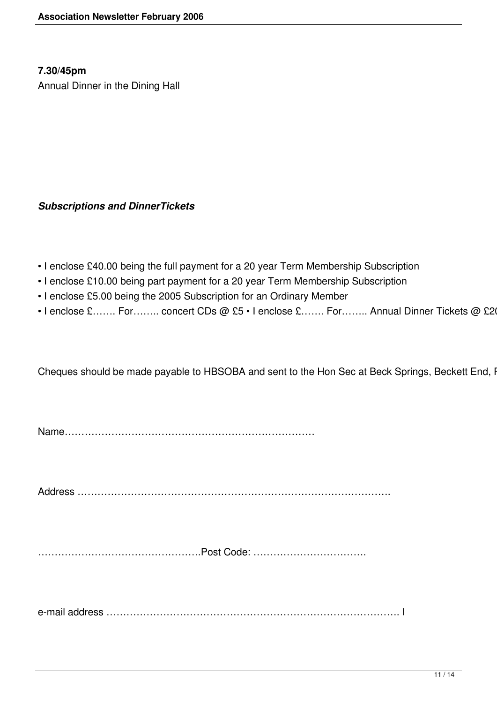## **7.30/45pm**

Annual Dinner in the Dining Hall

## *Subscriptions and DinnerTickets*

- I enclose £40.00 being the full payment for a 20 year Term Membership Subscription
- I enclose £10.00 being part payment for a 20 year Term Membership Subscription
- I enclose £5.00 being the 2005 Subscription for an Ordinary Member
- I enclose £……. For…….. concert CDs @ £5 I enclose £……. For…….. Annual Dinner Tickets @ £20

Cheques should be made payable to HBSOBA and sent to the Hon Sec at Beck Springs, Beckett End, I

Name…………………………………………………………………

Address ………………………………………………………………………………….

………………………………………….Post Code: …………………………….

e-mail address ……………………………………………………………………………. I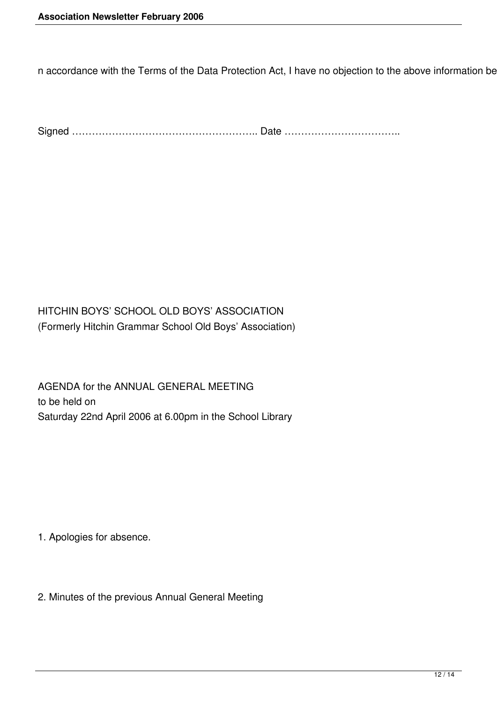n accordance with the Terms of the Data Protection Act, I have no objection to the above information be

Signed ……………………………………………….. Date ……………………………..

HITCHIN BOYS' SCHOOL OLD BOYS' ASSOCIATION (Formerly Hitchin Grammar School Old Boys' Association)

AGENDA for the ANNUAL GENERAL MEETING to be held on Saturday 22nd April 2006 at 6.00pm in the School Library

1. Apologies for absence.

2. Minutes of the previous Annual General Meeting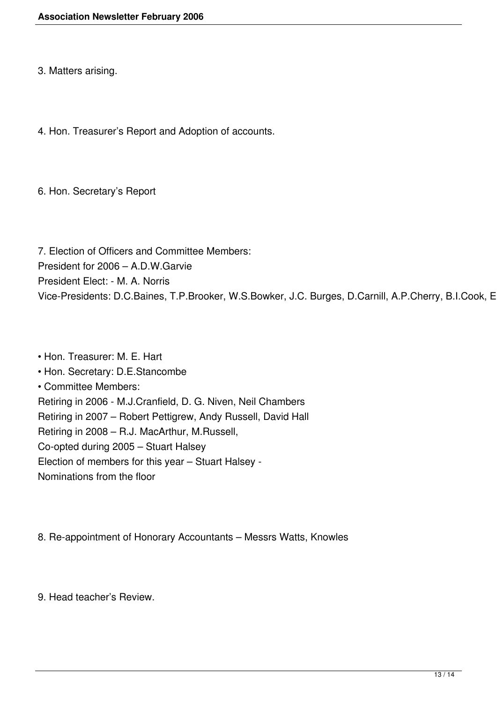3. Matters arising.

4. Hon. Treasurer's Report and Adoption of accounts.

6. Hon. Secretary's Report

7. Election of Officers and Committee Members: President for 2006 – A.D.W.Garvie President Elect: - M. A. Norris Vice-Presidents: D.C.Baines, T.P.Brooker, W.S.Bowker, J.C. Burges, D.Carnill, A.P.Cherry, B.I.Cook, E

• Hon. Treasurer: M. E. Hart • Hon. Secretary: D.E.Stancombe • Committee Members: Retiring in 2006 - M.J.Cranfield, D. G. Niven, Neil Chambers Retiring in 2007 – Robert Pettigrew, Andy Russell, David Hall Retiring in 2008 – R.J. MacArthur, M.Russell, Co-opted during 2005 – Stuart Halsey Election of members for this year – Stuart Halsey - Nominations from the floor

8. Re-appointment of Honorary Accountants – Messrs Watts, Knowles

9. Head teacher's Review.